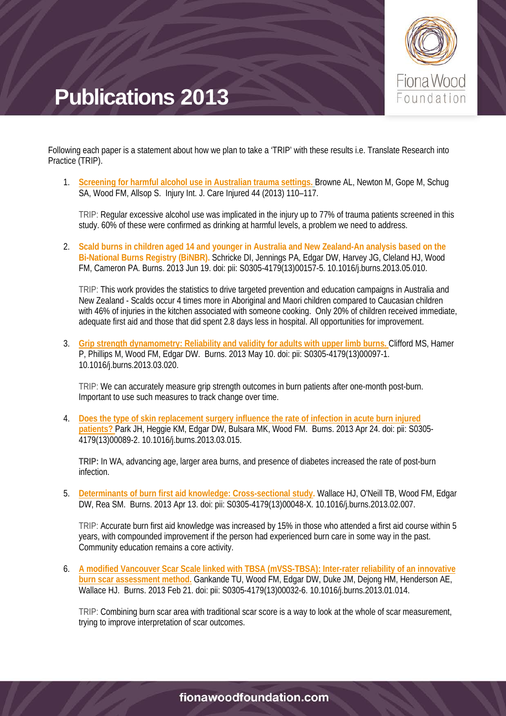

Following each paper is a statement about how we plan to take a 'TRIP' with these results i.e. Translate Research into Practice (TRIP).

1. **[Screening for harmful alcohol use in Australian trauma settings.](http://www.sciencedirect.com/science/article/pii/S0020138312000150?np=y)** Browne AL, Newton M, Gope M, Schug SA, Wood FM, Allsop S. Injury Int. J. Care Injured 44 (2013) 110–117.

TRIP: Regular excessive alcohol use was implicated in the injury up to 77% of trauma patients screened in this study. 60% of these were confirmed as drinking at harmful levels, a problem we need to address.

2. **Scald burns in children aged 14 and younger in Australia and New Zealand-An analysis based on the Bi-National Burns Registry (BiNBR).** Schricke DI, Jennings PA, Edgar DW, Harvey JG, Cleland HJ, Wood FM, Cameron PA. Burns. 2013 Jun 19. doi: pii: S0305-4179(13)00157-5. 10.1016/j.burns.2013.05.010.

TRIP: This work provides the statistics to drive targeted prevention and education campaigns in Australia and New Zealand - Scalds occur 4 times more in Aboriginal and Maori children compared to Caucasian children with 46% of injuries in the kitchen associated with someone cooking. Only 20% of children received immediate, adequate first aid and those that did spent 2.8 days less in hospital. All opportunities for improvement.

3. **[Grip strength dynamometry: Reliability and validity for adults with upper limb burns.](http://www.sciencedirect.com/science/article/pii/S0305417913000971)** Clifford MS, Hamer P, Phillips M, Wood FM, Edgar DW. Burns. 2013 May 10. doi: pii: S0305-4179(13)00097-1. 10.1016/j.burns.2013.03.020.

TRIP: We can accurately measure grip strength outcomes in burn patients after one-month post-burn. Important to use such measures to track change over time.

4. **[Does the type of skin replacement surgery influence the rate of infection in acute burn injured](http://www.sciencedirect.com/science/article/pii/S0305417913000892)  [patients?](http://www.sciencedirect.com/science/article/pii/S0305417913000892)** Park JH, Heggie KM, Edgar DW, Bulsara MK, Wood FM. Burns. 2013 Apr 24. doi: pii: S0305- 4179(13)00089-2. 10.1016/j.burns.2013.03.015.

**TRIP:** In WA, advancing age, larger area burns, and presence of diabetes increased the rate of post-burn infection.

5. **[Determinants of burn first aid knowledge: Cross-sectional study.](http://www.sciencedirect.com/science/article/pii/S030541791300048X)** Wallace HJ, O'Neill TB, Wood FM, Edgar DW, Rea SM. Burns. 2013 Apr 13. doi: pii: S0305-4179(13)00048-X. 10.1016/j.burns.2013.02.007.

TRIP: Accurate burn first aid knowledge was increased by 15% in those who attended a first aid course within 5 years, with compounded improvement if the person had experienced burn care in some way in the past. Community education remains a core activity.

6. **[A modified Vancouver Scar Scale linked with TBSA \(mVSS-TBSA\): Inter-rater reliability of an innovative](http://www.sciencedirect.com/science/article/pii/S0305417913000326)  [burn scar assessment method.](http://www.sciencedirect.com/science/article/pii/S0305417913000326)** Gankande TU, Wood FM, Edgar DW, Duke JM, Dejong HM, Henderson AE, Wallace HJ. Burns. 2013 Feb 21. doi: pii: S0305-4179(13)00032-6. 10.1016/j.burns.2013.01.014.

TRIP: Combining burn scar area with traditional scar score is a way to look at the whole of scar measurement, trying to improve interpretation of scar outcomes.

#### fionawoodfoundation.com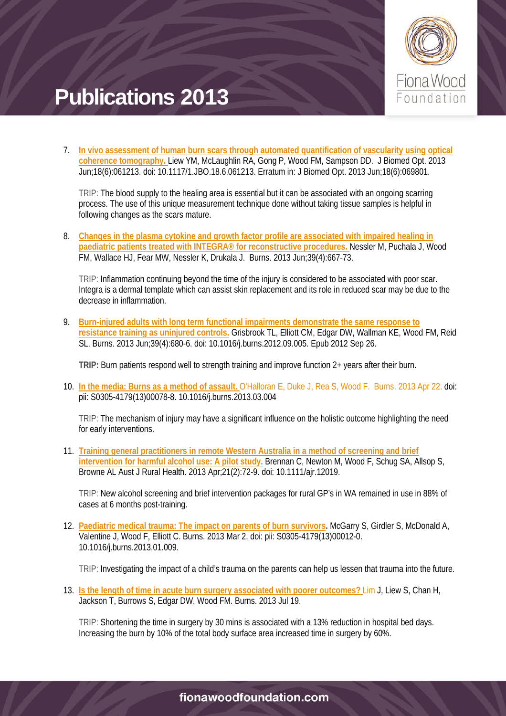

7. **[In vivo assessment of human burn scars through automated quantification of vascularity using optical](http://biomedicaloptics.spiedigitallibrary.org/article.aspx?articleid=1411785)  [coherence tomography.](http://biomedicaloptics.spiedigitallibrary.org/article.aspx?articleid=1411785)** Liew YM, McLaughlin RA, Gong P, Wood FM, Sampson DD. J Biomed Opt. 2013 Jun;18(6):061213. doi: 10.1117/1.JBO.18.6.061213. Erratum in: J Biomed Opt. 2013 Jun;18(6):069801.

TRIP: The blood supply to the healing area is essential but it can be associated with an ongoing scarring process. The use of this unique measurement technique done without taking tissue samples is helpful in following changes as the scars mature.

8. **[Changes in the plasma cytokine and growth factor profile are associated with impaired healing in](http://www.sciencedirect.com/science/article/pii/S0305417912002902)  paediatric [patients treated with INTEGRA® for reconstructive procedures.](http://www.sciencedirect.com/science/article/pii/S0305417912002902)** Nessler M, Puchala J, Wood FM, Wallace HJ, Fear MW, Nessler K, Drukala J. Burns. 2013 Jun;39(4):667-73.

TRIP: Inflammation continuing beyond the time of the injury is considered to be associated with poor scar. Integra is a dermal template which can assist skin replacement and its role in reduced scar may be due to the decrease in inflammation.

9. **[Burn-injured adults with long term functional impairments demonstrate the same response to](http://www.sciencedirect.com/science/article/pii/S030541791200294X)  [resistance training as uninjured controls.](http://www.sciencedirect.com/science/article/pii/S030541791200294X)** Grisbrook TL, Elliott CM, Edgar DW, Wallman KE, Wood FM, Reid SL. Burns. 2013 Jun;39(4):680-6. doi: 10.1016/j.burns.2012.09.005. Epub 2012 Sep 26.

**TRIP:** Burn patients respond well to strength training and improve function 2+ years after their burn.

10. **[In the media: Burns as a method of assault.](http://www.sciencedirect.com/science/article/pii/S0305417913000788)** O'Halloran E, Duke J, Rea S, Wood F. Burns. 2013 Apr 22. doi: pii: S0305-4179(13)00078-8. 10.1016/j.burns.2013.03.004

TRIP: The mechanism of injury may have a significant influence on the holistic outcome highlighting the need for early interventions.

11. **[Training general practitioners in remote Western Australia in a method of screening and brief](http://onlinelibrary.wiley.com/doi/10.1111/ajr.12019/abstract?deniedAccessCustomisedMessage=&userIsAuthenticated=false)  [intervention for harmful alcohol use: A pilot study.](http://onlinelibrary.wiley.com/doi/10.1111/ajr.12019/abstract?deniedAccessCustomisedMessage=&userIsAuthenticated=false)** Brennan C, Newton M, Wood F, Schug SA, Allsop S, Browne AL Aust J Rural Health. 2013 Apr;21(2):72-9. doi: 10.1111/ajr.12019.

TRIP: New alcohol screening and brief intervention packages for rural GP's in WA remained in use in 88% of cases at 6 months post-training.

12. **[Paediatric medical trauma: The impact on parents of burn survivors.](http://www.sciencedirect.com/science/article/pii/S0305417913000120)** McGarry S, Girdler S, McDonald A, Valentine J, Wood F, Elliott C. Burns. 2013 Mar 2. doi: pii: S0305-4179(13)00012-0. 10.1016/j.burns.2013.01.009.

TRIP: Investigating the impact of a child's trauma on the parents can help us lessen that trauma into the future.

13. **[Is the length of time in acute burn surgery associated with poorer outcomes?](http://www.sciencedirect.com/science/article/pii/S0305417913001873)** Lim J, Liew S, Chan H, Jackson T, Burrows S, Edgar DW, Wood FM. Burns. 2013 Jul 19.

TRIP: Shortening the time in surgery by 30 mins is associated with a 13% reduction in hospital bed days. Increasing the burn by 10% of the total body surface area increased time in surgery by 60%.

#### fionawoodfoundation.com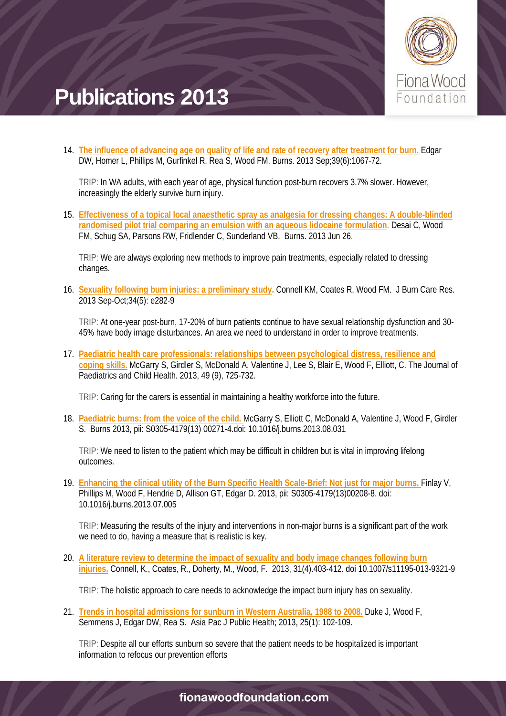

14. **[The influence of advancing age on quality of life and rate of recovery after treatment for burn.](http://www.sciencedirect.com/science/article/pii/S0305417913001782)** Edgar DW, Homer L, Phillips M, Gurfinkel R, Rea S, Wood FM. Burns. 2013 Sep;39(6):1067-72.

TRIP: In WA adults, with each year of age, physical function post-burn recovers 3.7% slower. However, increasingly the elderly survive burn injury.

15. **[Effectiveness of a topical local anaesthetic spray as analgesia for dressing changes: A double-blinded](http://www.sciencedirect.com/science/article/pii/S0305417913001605)  [randomised pilot trial comparing an emulsion with an aqueous lidocaine formulation.](http://www.sciencedirect.com/science/article/pii/S0305417913001605)** Desai C, Wood FM, Schug SA, Parsons RW, Fridlender C, Sunderland VB. Burns. 2013 Jun 26.

TRIP: We are always exploring new methods to improve pain treatments, especially related to dressing changes.

16. **[Sexuality following burn injuries: a preliminary study.](http://journals.lww.com/burncareresearch/Abstract/2013/09000/Sexuality_Following_Burn_Injuries__A_Preliminary.16.aspx)** Connell KM, Coates R, Wood FM. J Burn Care Res. 2013 Sep-Oct;34(5): e282-9

TRIP: At one-year post-burn, 17-20% of burn patients continue to have sexual relationship dysfunction and 30- 45% have body image disturbances. An area we need to understand in order to improve treatments.

17. **[Paediatric health care professionals: relationships between psychological distress, resilience and](http://onlinelibrary.wiley.com/doi/10.1111/jpc.12260/abstract?deniedAccessCustomisedMessage=&userIsAuthenticated=false)  [coping skills.](http://onlinelibrary.wiley.com/doi/10.1111/jpc.12260/abstract?deniedAccessCustomisedMessage=&userIsAuthenticated=false)** McGarry S, Girdler S, McDonald A, Valentine J, Lee S, Blair E, Wood F, Elliott, C. The Journal of Paediatrics and Child Health. 2013, 49 (9), 725-732.

TRIP: Caring for the carers is essential in maintaining a healthy workforce into the future.

18. **[Paediatric burns: from the voice of the child.](http://www.sciencedirect.com/science/article/pii/S0305417913002714)** McGarry S, Elliott C, McDonald A, Valentine J, Wood F, Girdler S. Burns 2013, pii: S0305-4179(13) 00271-4.doi: 10.1016/j.burns.2013.08.031

TRIP: We need to listen to the patient which may be difficult in children but is vital in improving lifelong outcomes.

19. **[Enhancing the clinical utility of the Burn Specific Health Scale-Brief: Not just for major burns.](http://www.sciencedirect.com/science/article/pii/S0305417913002088)** Finlay V, Phillips M, Wood F, Hendrie D, Allison GT, Edgar D. 2013, pii: S0305-4179(13)00208-8. doi: 10.1016/j.burns.2013.07.005

TRIP: Measuring the results of the injury and interventions in non-major burns is a significant part of the work we need to do, having a measure that is realistic is key.

20. **[A literature review to determine the impact of sexuality and body image changes following burn](http://link.springer.com/article/10.1007/s11195-013-9321-9#page-1)  [injuries.](http://link.springer.com/article/10.1007/s11195-013-9321-9#page-1)** Connell, K., Coates, R., Doherty, M., Wood, F. 2013, 31(4).403-412. doi 10.1007/s11195-013-9321-9

TRIP: The holistic approach to care needs to acknowledge the impact burn injury has on sexuality.

21. **[Trends in hospital admissions for sunburn in Western Australia, 1988 to 2008.](http://aph.sagepub.com/content/25/1/102.short)** Duke J, Wood F, Semmens J, Edgar DW, Rea S. Asia Pac J Public Health; 2013, 25(1): 102-109.

TRIP: Despite all our efforts sunburn so severe that the patient needs to be hospitalized is important information to refocus our prevention efforts

#### fionawoodfoundation.com